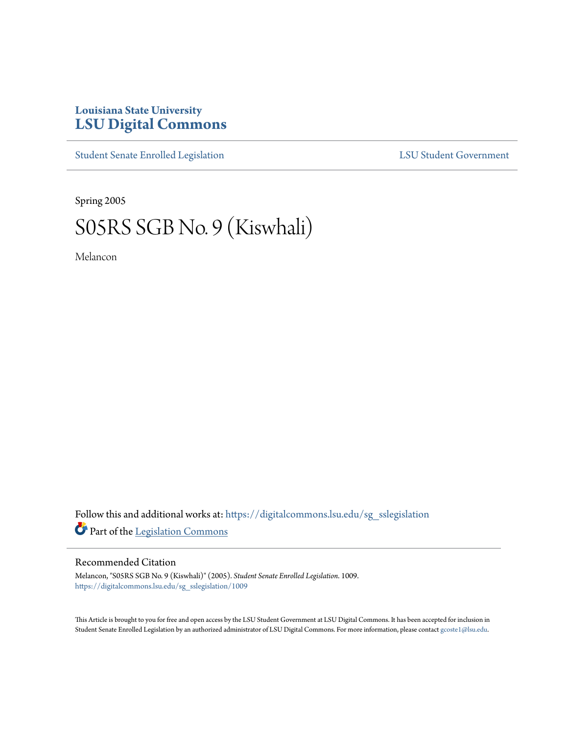## **Louisiana State University [LSU Digital Commons](https://digitalcommons.lsu.edu?utm_source=digitalcommons.lsu.edu%2Fsg_sslegislation%2F1009&utm_medium=PDF&utm_campaign=PDFCoverPages)**

[Student Senate Enrolled Legislation](https://digitalcommons.lsu.edu/sg_sslegislation?utm_source=digitalcommons.lsu.edu%2Fsg_sslegislation%2F1009&utm_medium=PDF&utm_campaign=PDFCoverPages) [LSU Student Government](https://digitalcommons.lsu.edu/sg?utm_source=digitalcommons.lsu.edu%2Fsg_sslegislation%2F1009&utm_medium=PDF&utm_campaign=PDFCoverPages)

Spring 2005

## S05RS SGB No. 9 (Kiswhali)

Melancon

Follow this and additional works at: [https://digitalcommons.lsu.edu/sg\\_sslegislation](https://digitalcommons.lsu.edu/sg_sslegislation?utm_source=digitalcommons.lsu.edu%2Fsg_sslegislation%2F1009&utm_medium=PDF&utm_campaign=PDFCoverPages) Part of the [Legislation Commons](http://network.bepress.com/hgg/discipline/859?utm_source=digitalcommons.lsu.edu%2Fsg_sslegislation%2F1009&utm_medium=PDF&utm_campaign=PDFCoverPages)

## Recommended Citation

Melancon, "S05RS SGB No. 9 (Kiswhali)" (2005). *Student Senate Enrolled Legislation*. 1009. [https://digitalcommons.lsu.edu/sg\\_sslegislation/1009](https://digitalcommons.lsu.edu/sg_sslegislation/1009?utm_source=digitalcommons.lsu.edu%2Fsg_sslegislation%2F1009&utm_medium=PDF&utm_campaign=PDFCoverPages)

This Article is brought to you for free and open access by the LSU Student Government at LSU Digital Commons. It has been accepted for inclusion in Student Senate Enrolled Legislation by an authorized administrator of LSU Digital Commons. For more information, please contact [gcoste1@lsu.edu.](mailto:gcoste1@lsu.edu)